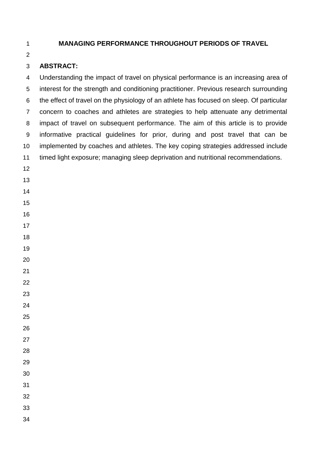## **MANAGING PERFORMANCE THROUGHOUT PERIODS OF TRAVEL**

# **ABSTRACT:**

 Understanding the impact of travel on physical performance is an increasing area of interest for the strength and conditioning practitioner. Previous research surrounding the effect of travel on the physiology of an athlete has focused on sleep. Of particular concern to coaches and athletes are strategies to help attenuate any detrimental impact of travel on subsequent performance. The aim of this article is to provide informative practical guidelines for prior, during and post travel that can be implemented by coaches and athletes. The key coping strategies addressed include timed light exposure; managing sleep deprivation and nutritional recommendations. 

- 
- 
- 
- 
- 
- 
- 
- 
- 
- 
- 
- 
- 
- 
- 
- 
-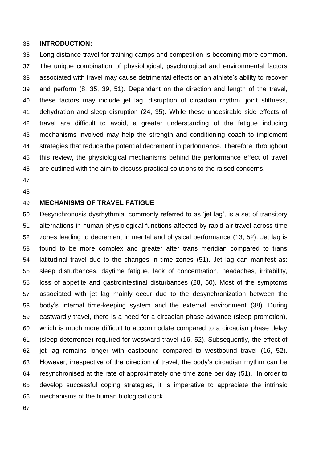#### **INTRODUCTION:**

 Long distance travel for training camps and competition is becoming more common. The unique combination of physiological, psychological and environmental factors associated with travel may cause detrimental effects on an athlete's ability to recover and perform (8, 35, 39, 51). Dependant on the direction and length of the travel, these factors may include jet lag, disruption of circadian rhythm, joint stiffness, dehydration and sleep disruption (24, 35). While these undesirable side effects of travel are difficult to avoid, a greater understanding of the fatigue inducing mechanisms involved may help the strength and conditioning coach to implement strategies that reduce the potential decrement in performance. Therefore, throughout this review, the physiological mechanisms behind the performance effect of travel are outlined with the aim to discuss practical solutions to the raised concerns.

- 
- 

### **MECHANISMS OF TRAVEL FATIGUE**

 Desynchronosis dysrhythmia, commonly referred to as 'jet lag', is a set of transitory alternations in human physiological functions affected by rapid air travel across time zones leading to decrement in mental and physical performance (13, 52). Jet lag is found to be more complex and greater after trans meridian compared to trans latitudinal travel due to the changes in time zones (51). Jet lag can manifest as: sleep disturbances, daytime fatigue, lack of concentration, headaches, irritability, loss of appetite and gastrointestinal disturbances (28, 50). Most of the symptoms associated with jet lag mainly occur due to the desynchronization between the body's internal time-keeping system and the external environment (38). During eastwardly travel, there is a need for a circadian phase advance (sleep promotion), which is much more difficult to accommodate compared to a circadian phase delay (sleep deterrence) required for westward travel (16, 52). Subsequently, the effect of jet lag remains longer with eastbound compared to westbound travel (16, 52). However, irrespective of the direction of travel, the body's circadian rhythm can be resynchronised at the rate of approximately one time zone per day (51). In order to develop successful coping strategies, it is imperative to appreciate the intrinsic mechanisms of the human biological clock.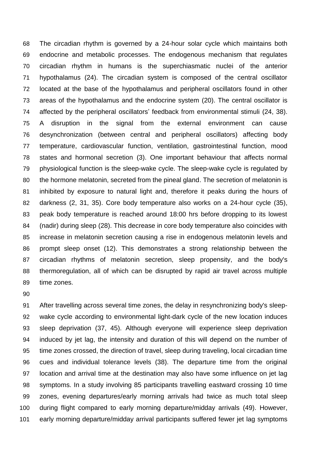The circadian rhythm is governed by a 24-hour solar cycle which maintains both endocrine and metabolic processes. The endogenous mechanism that regulates circadian rhythm in humans is the superchiasmatic nuclei of the anterior hypothalamus (24). The circadian system is composed of the central oscillator located at the base of the hypothalamus and peripheral oscillators found in other areas of the hypothalamus and the endocrine system (20). The central oscillator is affected by the peripheral oscillators' feedback from environmental stimuli (24, 38). A disruption in the signal from the external environment can cause desynchronization (between central and peripheral oscillators) affecting body temperature, cardiovascular function, ventilation, gastrointestinal function, mood states and hormonal secretion (3). One important behaviour that affects normal physiological function is the sleep-wake cycle. The sleep-wake cycle is regulated by the hormone melatonin, secreted from the pineal gland. The secretion of melatonin is inhibited by exposure to natural light and, therefore it peaks during the hours of darkness (2, 31, 35). Core body temperature also works on a 24-hour cycle (35), peak body temperature is reached around 18:00 hrs before dropping to its lowest (nadir) during sleep (28). This decrease in core body temperature also coincides with increase in melatonin secretion causing a rise in endogenous melatonin levels and prompt sleep onset (12). This demonstrates a strong relationship between the circadian rhythms of melatonin secretion, sleep propensity, and the body's thermoregulation, all of which can be disrupted by rapid air travel across multiple time zones.

 After travelling across several time zones, the delay in resynchronizing body's sleep- wake cycle according to environmental light-dark cycle of the new location induces sleep deprivation (37, 45). Although everyone will experience sleep deprivation induced by jet lag, the intensity and duration of this will depend on the number of time zones crossed, the direction of travel, sleep during traveling, local circadian time cues and individual tolerance levels (38). The departure time from the original location and arrival time at the destination may also have some influence on jet lag symptoms. In a study involving 85 participants travelling eastward crossing 10 time zones, evening departures/early morning arrivals had twice as much total sleep during flight compared to early morning departure/midday arrivals (49). However, early morning departure/midday arrival participants suffered fewer jet lag symptoms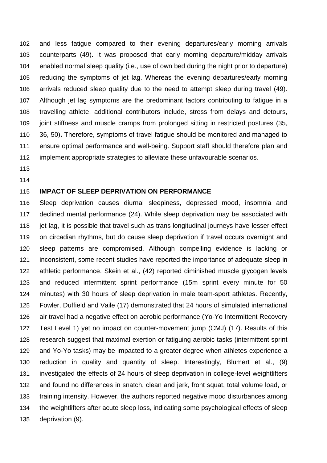and less fatigue compared to their evening departures/early morning arrivals counterparts (49). It was proposed that early morning departure/midday arrivals enabled normal sleep quality (i.e., use of own bed during the night prior to departure) reducing the symptoms of jet lag. Whereas the evening departures/early morning arrivals reduced sleep quality due to the need to attempt sleep during travel (49). Although jet lag symptoms are the predominant factors contributing to fatigue in a travelling athlete, additional contributors include, stress from delays and detours, joint stiffness and muscle cramps from prolonged sitting in restricted postures (35, 36, 50)**.** Therefore, symptoms of travel fatigue should be monitored and managed to ensure optimal performance and well-being. Support staff should therefore plan and implement appropriate strategies to alleviate these unfavourable scenarios.

- 
- 

### **IMPACT OF SLEEP DEPRIVATION ON PERFORMANCE**

 Sleep deprivation causes diurnal sleepiness, depressed mood, insomnia and declined mental performance (24). While sleep deprivation may be associated with 118 jet lag, it is possible that travel such as trans longitudinal journeys have lesser effect on circadian rhythms, but do cause sleep deprivation if travel occurs overnight and sleep patterns are compromised. Although compelling evidence is lacking or inconsistent, some recent studies have reported the importance of adequate sleep in athletic performance. Skein et al., (42) reported diminished muscle glycogen levels and reduced intermittent sprint performance (15m sprint every minute for 50 minutes) with 30 hours of sleep deprivation in male team-sport athletes. Recently, Fowler, Duffield and Vaile (17) demonstrated that 24 hours of simulated international air travel had a negative effect on aerobic performance (Yo-Yo Intermittent Recovery Test Level 1) yet no impact on counter-movement jump (CMJ) (17). Results of this research suggest that maximal exertion or fatiguing aerobic tasks (intermittent sprint and Yo-Yo tasks) may be impacted to a greater degree when athletes experience a reduction in quality and quantity of sleep. Interestingly, Blumert et al., (9) investigated the effects of 24 hours of sleep deprivation in college-level weightlifters and found no differences in snatch, clean and jerk, front squat, total volume load, or training intensity. However, the authors reported negative mood disturbances among the weightlifters after acute sleep loss, indicating some psychological effects of sleep deprivation (9).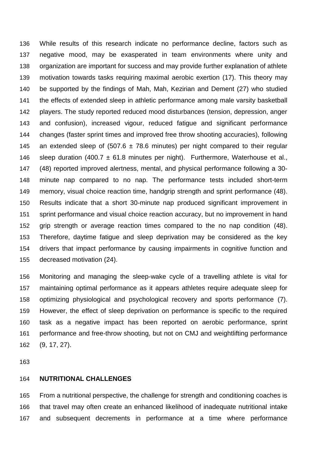While results of this research indicate no performance decline, factors such as negative mood, may be exasperated in team environments where unity and organization are important for success and may provide further explanation of athlete motivation towards tasks requiring maximal aerobic exertion (17). This theory may be supported by the findings of Mah, Mah, Kezirian and Dement (27) who studied the effects of extended sleep in athletic performance among male varsity basketball players. The study reported reduced mood disturbances (tension, depression, anger and confusion), increased vigour, reduced fatigue and significant performance changes (faster sprint times and improved free throw shooting accuracies), following 145 an extended sleep of (507.6  $\pm$  78.6 minutes) per night compared to their regular 146 sleep duration (400.7  $\pm$  61.8 minutes per night). Furthermore, Waterhouse et al., (48) reported improved alertness, mental, and physical performance following a 30- minute nap compared to no nap. The performance tests included short-term memory, visual choice reaction time, handgrip strength and sprint performance (48). Results indicate that a short 30-minute nap produced significant improvement in sprint performance and visual choice reaction accuracy, but no improvement in hand grip strength or average reaction times compared to the no nap condition (48). Therefore, daytime fatigue and sleep deprivation may be considered as the key drivers that impact performance by causing impairments in cognitive function and decreased motivation (24).

 Monitoring and managing the sleep-wake cycle of a travelling athlete is vital for maintaining optimal performance as it appears athletes require adequate sleep for optimizing physiological and psychological recovery and sports performance (7). However, the effect of sleep deprivation on performance is specific to the required task as a negative impact has been reported on aerobic performance, sprint performance and free-throw shooting, but not on CMJ and weightlifting performance (9, 17, 27).

#### **NUTRITIONAL CHALLENGES**

 From a nutritional perspective, the challenge for strength and conditioning coaches is that travel may often create an enhanced likelihood of inadequate nutritional intake and subsequent decrements in performance at a time where performance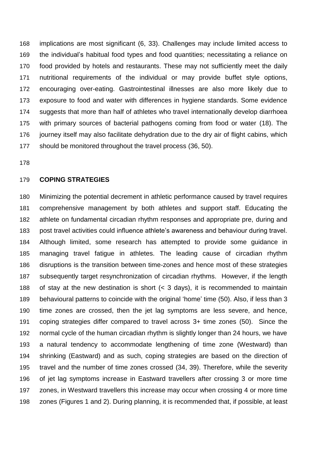implications are most significant (6, 33). Challenges may include limited access to the individual's habitual food types and food quantities; necessitating a reliance on food provided by hotels and restaurants. These may not sufficiently meet the daily nutritional requirements of the individual or may provide buffet style options, encouraging over-eating. Gastrointestinal illnesses are also more likely due to exposure to food and water with differences in hygiene standards. Some evidence suggests that more than half of athletes who travel internationally develop diarrhoea with primary sources of bacterial pathogens coming from food or water (18). The journey itself may also facilitate dehydration due to the dry air of flight cabins, which should be monitored throughout the travel process (36, 50).

#### **COPING STRATEGIES**

 Minimizing the potential decrement in athletic performance caused by travel requires comprehensive management by both athletes and support staff. Educating the athlete on fundamental circadian rhythm responses and appropriate pre, during and post travel activities could influence athlete's awareness and behaviour during travel. Although limited, some research has attempted to provide some guidance in managing travel fatigue in athletes. The leading cause of circadian rhythm disruptions is the transition between time-zones and hence most of these strategies subsequently target resynchronization of circadian rhythms. However, if the length of stay at the new destination is short (< 3 days), it is recommended to maintain behavioural patterns to coincide with the original 'home' time (50). Also, if less than 3 time zones are crossed, then the jet lag symptoms are less severe, and hence, coping strategies differ compared to travel across 3+ time zones (50). Since the normal cycle of the human circadian rhythm is slightly longer than 24 hours, we have a natural tendency to accommodate lengthening of time zone (Westward) than shrinking (Eastward) and as such, coping strategies are based on the direction of travel and the number of time zones crossed (34, 39). Therefore, while the severity of jet lag symptoms increase in Eastward travellers after crossing 3 or more time zones, in Westward travellers this increase may occur when crossing 4 or more time zones (Figures 1 and 2). During planning, it is recommended that, if possible, at least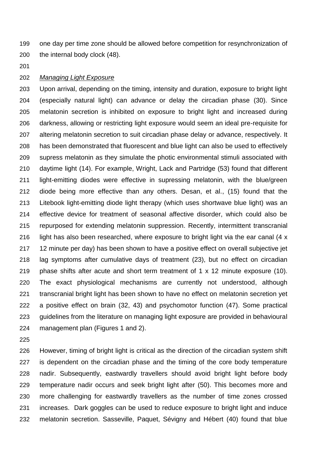one day per time zone should be allowed before competition for resynchronization of the internal body clock (48).

#### *Managing Light Exposure*

 Upon arrival, depending on the timing, intensity and duration, exposure to bright light (especially natural light) can advance or delay the circadian phase (30). Since melatonin secretion is inhibited on exposure to bright light and increased during darkness, allowing or restricting light exposure would seem an ideal pre-requisite for altering melatonin secretion to suit circadian phase delay or advance, respectively. It has been demonstrated that fluorescent and blue light can also be used to effectively supress melatonin as they simulate the photic environmental stimuli associated with daytime light (14). For example, Wright, Lack and Partridge (53) found that different light-emitting diodes were effective in supressing melatonin, with the blue/green diode being more effective than any others. Desan, et al., (15) found that the Litebook light-emitting diode light therapy (which uses shortwave blue light) was an effective device for treatment of seasonal affective disorder, which could also be repurposed for extending melatonin suppression. Recently, intermittent transcranial light has also been researched, where exposure to bright light via the ear canal (4 x 12 minute per day) has been shown to have a positive effect on overall subjective jet lag symptoms after cumulative days of treatment (23), but no effect on circadian phase shifts after acute and short term treatment of 1 x 12 minute exposure (10). The exact physiological mechanisms are currently not understood, although transcranial bright light has been shown to have no effect on melatonin secretion yet a positive effect on brain (32, 43) and psychomotor function (47). Some practical guidelines from the literature on managing light exposure are provided in behavioural management plan (Figures 1 and 2).

 However, timing of bright light is critical as the direction of the circadian system shift is dependent on the circadian phase and the timing of the core body temperature nadir. Subsequently, eastwardly travellers should avoid bright light before body temperature nadir occurs and seek bright light after (50). This becomes more and more challenging for eastwardly travellers as the number of time zones crossed increases. Dark goggles can be used to reduce exposure to bright light and induce melatonin secretion. Sasseville, Paquet, Sévigny and Hébert (40) found that blue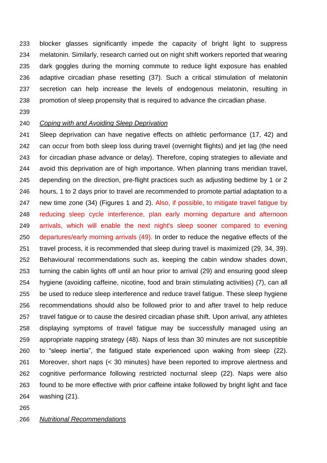blocker glasses significantly impede the capacity of bright light to suppress melatonin. Similarly, research carried out on night shift workers reported that wearing dark goggles during the morning commute to reduce light exposure has enabled adaptive circadian phase resetting (37). Such a critical stimulation of melatonin secretion can help increase the levels of endogenous melatonin, resulting in promotion of sleep propensity that is required to advance the circadian phase.

### *Coping with and Avoiding Sleep Deprivation*

 Sleep deprivation can have negative effects on athletic performance (17, 42) and can occur from both sleep loss during travel (overnight flights) and jet lag (the need for circadian phase advance or delay). Therefore, coping strategies to alleviate and avoid this deprivation are of high importance. When planning trans meridian travel, depending on the direction, pre-flight practices such as adjusting bedtime by 1 or 2 hours, 1 to 2 days prior to travel are recommended to promote partial adaptation to a new time zone (34) (Figures 1 and 2). Also, if possible, to mitigate travel fatigue by reducing sleep cycle interference, plan early morning departure and afternoon arrivals, which will enable the next night's sleep sooner compared to evening departures/early morning arrivals (49). In order to reduce the negative effects of the travel process, it is recommended that sleep during travel is maximized (29, 34, 39). Behavioural recommendations such as, keeping the cabin window shades down, turning the cabin lights off until an hour prior to arrival (29) and ensuring good sleep hygiene (avoiding caffeine, nicotine, food and brain stimulating activities) (7), can all be used to reduce sleep interference and reduce travel fatigue. These sleep hygiene recommendations should also be followed prior to and after travel to help reduce travel fatigue or to cause the desired circadian phase shift. Upon arrival, any athletes displaying symptoms of travel fatigue may be successfully managed using an appropriate napping strategy (48). Naps of less than 30 minutes are not susceptible to "sleep inertia", the fatigued state experienced upon waking from sleep (22). Moreover, short naps (< 30 minutes) have been reported to improve alertness and cognitive performance following restricted nocturnal sleep (22). Naps were also found to be more effective with prior caffeine intake followed by bright light and face washing (21).

### *Nutritional Recommendations*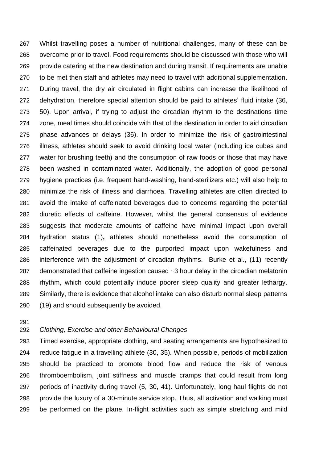Whilst travelling poses a number of nutritional challenges, many of these can be overcome prior to travel. Food requirements should be discussed with those who will provide catering at the new destination and during transit. If requirements are unable to be met then staff and athletes may need to travel with additional supplementation. During travel, the dry air circulated in flight cabins can increase the likelihood of dehydration, therefore special attention should be paid to athletes' fluid intake (36, 50). Upon arrival, if trying to adjust the circadian rhythm to the destinations time zone, meal times should coincide with that of the destination in order to aid circadian phase advances or delays (36). In order to minimize the risk of gastrointestinal illness, athletes should seek to avoid drinking local water (including ice cubes and water for brushing teeth) and the consumption of raw foods or those that may have been washed in contaminated water. Additionally, the adoption of good personal hygiene practices (i.e. frequent hand-washing, hand-sterilizers etc.) will also help to minimize the risk of illness and diarrhoea. Travelling athletes are often directed to avoid the intake of caffeinated beverages due to concerns regarding the potential diuretic effects of caffeine. However, whilst the general consensus of evidence suggests that moderate amounts of caffeine have minimal impact upon overall hydration status (1)**,** athletes should nonetheless avoid the consumption of caffeinated beverages due to the purported impact upon wakefulness and interference with the adjustment of circadian rhythms. Burke et al., (11) recently demonstrated that caffeine ingestion caused ~3 hour delay in the circadian melatonin rhythm, which could potentially induce poorer sleep quality and greater lethargy. Similarly, there is evidence that alcohol intake can also disturb normal sleep patterns (19) and should subsequently be avoided.

## *Clothing, Exercise and other Behavioural Changes*

 Timed exercise, appropriate clothing, and seating arrangements are hypothesized to reduce fatigue in a travelling athlete (30, 35). When possible, periods of mobilization should be practiced to promote blood flow and reduce the risk of venous thromboembolism, joint stiffness and muscle cramps that could result from long periods of inactivity during travel (5, 30, 41). Unfortunately, long haul flights do not provide the luxury of a 30-minute service stop. Thus, all activation and walking must be performed on the plane. In-flight activities such as simple stretching and mild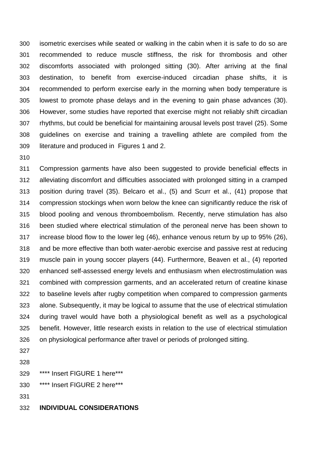isometric exercises while seated or walking in the cabin when it is safe to do so are recommended to reduce muscle stiffness, the risk for thrombosis and other discomforts associated with prolonged sitting (30). After arriving at the final destination, to benefit from exercise-induced circadian phase shifts, it is recommended to perform exercise early in the morning when body temperature is lowest to promote phase delays and in the evening to gain phase advances (30). However, some studies have reported that exercise might not reliably shift circadian rhythms, but could be beneficial for maintaining arousal levels post travel (25). Some guidelines on exercise and training a travelling athlete are compiled from the literature and produced in Figures 1 and 2.

 Compression garments have also been suggested to provide beneficial effects in alleviating discomfort and difficulties associated with prolonged sitting in a cramped position during travel (35). Belcaro et al., (5) and Scurr et al., (41) propose that compression stockings when worn below the knee can significantly reduce the risk of blood pooling and venous thromboembolism. Recently, nerve stimulation has also been studied where electrical stimulation of the peroneal nerve has been shown to increase blood flow to the lower leg (46), enhance venous return by up to 95% (26), and be more effective than both water-aerobic exercise and passive rest at reducing muscle pain in young soccer players (44). Furthermore, Beaven et al., (4) reported enhanced self-assessed energy levels and enthusiasm when electrostimulation was combined with compression garments, and an accelerated return of creatine kinase to baseline levels after rugby competition when compared to compression garments alone. Subsequently, it may be logical to assume that the use of electrical stimulation during travel would have both a physiological benefit as well as a psychological benefit. However, little research exists in relation to the use of electrical stimulation on physiological performance after travel or periods of prolonged sitting.

- 
- 

\*\*\*\* Insert FIGURE 1 here\*\*\*

\*\*\*\* Insert FIGURE 2 here\*\*\*

### **INDIVIDUAL CONSIDERATIONS**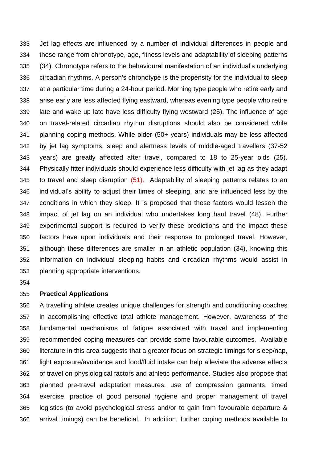Jet lag effects are influenced by a number of individual differences in people and these range from chronotype, age, fitness levels and adaptability of sleeping patterns (34). Chronotype refers to the behavioural manifestation of an individual's underlying circadian rhythms. A person's chronotype is the propensity for the individual to sleep at a particular time during a 24-hour period. Morning type people who retire early and arise early are less affected flying eastward, whereas evening type people who retire late and wake up late have less difficulty flying westward (25). The influence of age on travel-related circadian rhythm disruptions should also be considered while planning coping methods. While older (50+ years) individuals may be less affected by jet lag symptoms, sleep and alertness levels of middle-aged travellers (37-52 years) are greatly affected after travel, compared to 18 to 25-year olds (25). Physically fitter individuals should experience less difficulty with jet lag as they adapt 345 to travel and sleep disruption (51). Adaptability of sleeping patterns relates to an individual's ability to adjust their times of sleeping, and are influenced less by the conditions in which they sleep. It is proposed that these factors would lessen the impact of jet lag on an individual who undertakes long haul travel (48). Further experimental support is required to verify these predictions and the impact these factors have upon individuals and their response to prolonged travel. However, although these differences are smaller in an athletic population (34), knowing this information on individual sleeping habits and circadian rhythms would assist in planning appropriate interventions.

#### **Practical Applications**

 A travelling athlete creates unique challenges for strength and conditioning coaches in accomplishing effective total athlete management. However, awareness of the fundamental mechanisms of fatigue associated with travel and implementing recommended coping measures can provide some favourable outcomes. Available literature in this area suggests that a greater focus on strategic timings for sleep/nap, light exposure/avoidance and food/fluid intake can help alleviate the adverse effects of travel on physiological factors and athletic performance. Studies also propose that planned pre-travel adaptation measures, use of compression garments, timed exercise, practice of good personal hygiene and proper management of travel logistics (to avoid psychological stress and/or to gain from favourable departure & arrival timings) can be beneficial. In addition, further coping methods available to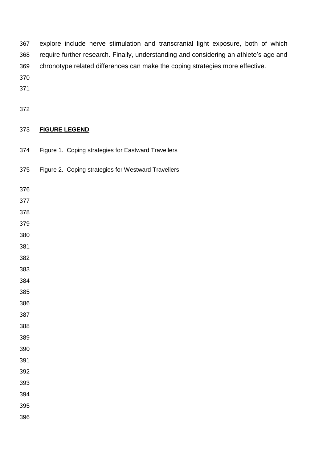| 367 | explore include nerve stimulation and transcranial light exposure, both of which      |
|-----|---------------------------------------------------------------------------------------|
| 368 | require further research. Finally, understanding and considering an athlete's age and |
| 369 | chronotype related differences can make the coping strategies more effective.         |

- 
- 
- 

## **FIGURE LEGEND**

- Figure 1. Coping strategies for Eastward Travellers
- Figure 2. Coping strategies for Westward Travellers
- 
- 
- 
- 
- 
- 
- 
- 
- 
- 
- 
- 
- 
- 
- 
- 
- 
- 
- 
- 
-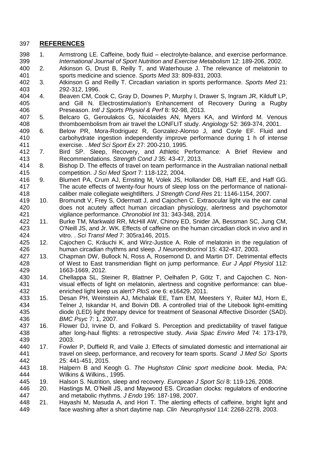### **REFERENCES**

- 1. Armstrong LE. Caffeine, body fluid electrolyte-balance, and exercise performance. *International Journal of Sport Nutrition and Exercise Metabolism* 12: 189-206, 2002.
- 2. Atkinson G, Drust B, Reilly T, and Waterhouse J. The relevance of melatonin to sports medicine and science. *Sports Med* 33: 809-831, 2003.
- 3. Atkinson G and Reilly T. Circadian variation in sports performance. *Sports Med* 21: 292-312, 1996.
- 4. Beaven CM, Cook C, Gray D, Downes P, Murphy I, Drawer S, Ingram JR, Kilduff LP, and Gill N. Electrostimulation's Enhancement of Recovery During a Rugby Preseason. *Intl J Sports Physiol & Perf* 8: 92-98, 2013.
- 5. Belcaro G, Geroulakos G, Nicolaides AN, Myers KA, and Winford M. Venous thromboembolism from air travel the LONFLIT study. *Angiology* 52: 369-374, 2001.
- 6. Below PR, Mora-Rodriguez R, Gonzalez-Alonso J, and Coyle EF. Fluid and carbohydrate ingestion independently improve performance during 1 h of intense exercise. . *Med Sci Sport Ex* 27: 200-210, 1995.
- 7. Bird SP. Sleep, Recovery, and Athletic Performance: A Brief Review and Recommendations. *Strength Cond J* 35: 43-47, 2013.
- 8. Bishop D. The effects of travel on team performance in the Australian national netball competition. *J Sci Med Sport* 7: 118-122, 2004.
- 9. Blumert PA, Crum AJ, Ernsting M, Volek JS, Hollander DB, Haff EE, and Haff GG. The acute effects of twenty-four hours of sleep loss on the performance of national-caliber male collegiate weightlifters. *J Strength Cond Res* 21: 1146-1154, 2007.
- 10. Bromundt V, Frey S, Odermatt J, and Cajochen C. Extraocular light via the ear canal does not acutely affect human circadian physiology, alertness and psychomotor vigilance performance. *Chronobiol Int* 31: 343-348, 2014.
- 11. Burke TM, Markwald RR, McHill AW, Chinoy ED, Snider JA, Bessman SC, Jung CM, O'Neill JS, and Jr. WK. Effects of caffeine on the human circadian clock in vivo and in vitro. . *Sci Transl Med* 7: 305ra146, 2015.
- 425 12. Cajochen C, Kräuchi K, and Wirz-Justice A. Role of melatonin in the regulation of 426 to human circadian rhythms and sleep. *J Neuroendocrinol* 15: 432-437, 2003. human circadian rhythms and sleep. *J Neuroendocrinol* 15: 432-437, 2003.
- 13. Chapman DW, Bullock N, Ross A, Rosemond D, and Martin DT. Detrimental effects of West to East transmeridian flight on jump performance. *Eur J Appl Physiol* 112: 1663-1669, 2012.
- 14. Chellappa SL, Steiner R, Blattner P, Oelhafen P, Götz T, and Cajochen C. Non- visual effects of light on melatonin, alertness and cognitive performance: can blue-enriched light keep us alert? *PloS one* 6: e16429, 2011.
- 15. Desan PH, Weinstein AJ, Michalak EE, Tam EM, Meesters Y, Ruiter MJ, Horn E, Telner J, Iskandar H, and Boivin DB. A controlled trial of the Litebook light-emitting diode (LED) light therapy device for treatment of Seasonal Affective Disorder (SAD). *BMC Psyc* 7: 1, 2007.
- 16. Flower DJ, Irvine D, and Folkard S. Perception and predictability of travel fatigue after long-haul flights: a retrospective study. *Avia Spac Enviro Med* 74: 173-179, 2003.
- 17. Fowler P, Duffield R, and Vaile J. Effects of simulated domestic and international air travel on sleep, performance, and recovery for team sports. *Scand J Med Sci Sports* 25: 441-451, 2015.
- 18. Halpern B and Keogh G. *The Hughston Clinic sport medicine book.* Media, PA: Wilkins & Wilkins., 1995.
- 19. Halson S. Nutrition, sleep and recovery. *European J Sport Sci* 8: 119-126, 2008.
- 20. Hastings M, O'Neill JS, and Maywood ES. Circadian clocks: regulators of endocrine and metabolic rhythms. *J Endo* 195: 187-198, 2007.
- 21. Hayashi M, Masuda A, and Hori T. The alerting effects of caffeine, bright light and face washing after a short daytime nap. *Clin Neurophysiol* 114: 2268-2278, 2003.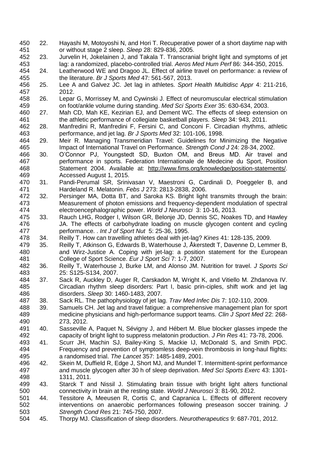- 22. Hayashi M, Motoyoshi N, and Hori T. Recuperative power of a short daytime nap with or without stage 2 sleep. *Sleep* 28: 829-836, 2005.
- 23. Jurvelin H, Jokelainen J, and Takala T. Transcranial bright light and symptoms of jet lag: a randomized, placebo-controlled trial. *Aeros Med Hum Perf* 86: 344-350, 2015.
- 24. Leatherwood WE and Dragoo JL. Effect of airline travel on performance: a review of the literature. *Br J Sports Med* 47: 561-567, 2013.
- 25. Lee A and Galvez JC. Jet lag in athletes. *Sport Health Multidisc Appr* 4: 211-216, 2012.
- 26. Lepar G, Morrissey M, and Cywinski J. Effect of neuromuscular electrical stimulation on foot/ankle volume during standing. *Med Sci Sports Exer* 35: 630-634, 2003.
- 27. Mah CD, Mah KE, Kezirian EJ, and Dement WC. The effects of sleep extension on the athletic performance of collegiate basketball players. *Sleep* 34: 943, 2011.
- 28. Manfredini R, Manfredini F, Fersini C, and Conconi F. Circadian rhythms, athletic performance, and jet lag. *Br J Sports Med* 32: 101-106, 1998.
- 29. Meir R. Managing Transmeridian Travel: Guidelines for Minimizing the Negative Impact of International Travel on Performance. *Strength Cond J* 24: 28-34, 2002.
- 30. O'Connor PJ, Youngstedt SD, Buxton OM, and Breus MD. Air travel and performance in sports. Federation Internationale de Medecine du Sport, Position Statement 2004. Available at: [http://www.fims.org/knowledge/position-statements/.](http://www.fims.org/knowledge/position-statements/) Accessed August 1, 2015.
- 470 31. Pandi-Perumal SR, Srinivasan V, Maestroni G, Cardinali D, Poeggeler B, and Hardeland R. Melatonin. *Febs J* 273: 2813-2838, 2006.
- 32. Persinger MA, Dotta BT, and Saroka KS. Bright light transmits through the brain: Measurement of photon emissions and frequency-dependent modulation of spectral electroencephalographic power. *World J Neurosci* 3: 10-16, 2013.
- 33. Rauch LHG, Rodger I, Wilson GR, Belonje JD, Dennis SC, Noakes TD, and Hawley JA. The effects of carbohydrate loading on muscle glycogen content and cycling performance. . *Int J of Sport Nut* 5: 25-36, 1995.
- 34. Reilly T. How can travelling athletes deal with jet-lag? *Kines* 41: 128-135, 2009.
- 35. Reilly T, Atkinson G, Edwards B, Waterhouse J, Åkerstedt T, Davenne D, Lemmer B, and Wirz-Justice A. Coping with jet-lag: a position statement for the European College of Sport Science. *Eur J Sport Sci* 7: 1-7, 2007.
- 36. Reilly T, Waterhouse J, Burke LM, and Alonso JM. Nutrition for travel. *J Sports Sci* 25: S125-S134, 2007.
- 37. Sack R, Auckley D, Auger R, Carskadon M, Wright K, and Vitiello M. Zhdanova IV. Circadian rhythm sleep disorders: Part I, basic prin-ciples, shift work and jet lag disorders. *Sleep* 30: 1460-1483, 2007.
- 38. Sack RL. The pathophysiology of jet lag. *Trav Med Infec Dis* 7: 102-110, 2009.
- 39. Samuels CH. Jet lag and travel fatigue: a comprehensive management plan for sport medicine physicians and high-performance support teams. *Clin J Sport Med* 22: 268- 273, 2012.
- 40. Sasseville A, Paquet N, Sévigny J, and Hébert M. Blue blocker glasses impede the capacity of bright light to suppress melatonin production. *J Pin Res* 41: 73-78, 2006.
- 41. Scurr JH, Machin SJ, Bailey-King S, Mackie IJ, McDonald S, and Smith PDC. Frequency and prevention of symptomless deep-vein thrombosis in long-haul flights: a randomised trial. *The Lancet* 357: 1485-1489, 2001.
- 42. Skein M, Duffield R, Edge J, Short MJ, and Mundel T. Intermittent-sprint performance and muscle glycogen after 30 h of sleep deprivation. *Med Sci Sports Exerc* 43: 1301- 1311, 2011.
- 43. Starck T and Nissil J. Stimulating brain tissue with bright light alters functional connectivity in brain at the resting state. *World J Neurosci* 3: 81-90, 2012.
- 44. Tessitore A, Meeusen R, Cortis C, and Capranica L. Effects of different recovery interventions on anaerobic performances following preseason soccer training. *J Strength Cond Res* 21: 745-750, 2007.
- 45. Thorpy MJ. Classification of sleep disorders. *Neurotherapeutics* 9: 687-701, 2012.